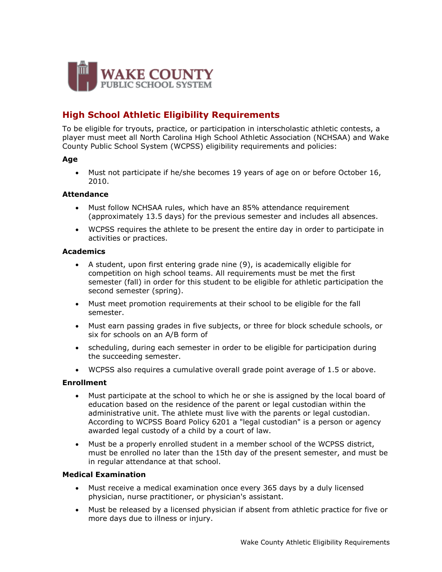

# **High School Athletic Eligibility Requirements**

To be eligible for tryouts, practice, or participation in interscholastic athletic contests, a player must meet all North Carolina High School Athletic Association (NCHSAA) and Wake County Public School System (WCPSS) eligibility requirements and policies:

# **Age**

 Must not participate if he/she becomes 19 years of age on or before October 16, 2010.

# **Attendance**

- Must follow NCHSAA rules, which have an 85% attendance requirement (approximately 13.5 days) for the previous semester and includes all absences.
- WCPSS requires the athlete to be present the entire day in order to participate in activities or practices.

# **Academics**

- A student, upon first entering grade nine (9), is academically eligible for competition on high school teams. All requirements must be met the first semester (fall) in order for this student to be eligible for athletic participation the second semester (spring).
- Must meet promotion requirements at their school to be eligible for the fall semester.
- Must earn passing grades in five subjects, or three for block schedule schools, or six for schools on an A/B form of
- scheduling, during each semester in order to be eligible for participation during the succeeding semester.
- WCPSS also requires a cumulative overall grade point average of 1.5 or above.

#### **Enrollment**

- Must participate at the school to which he or she is assigned by the local board of education based on the residence of the parent or legal custodian within the administrative unit. The athlete must live with the parents or legal custodian. According to WCPSS Board Policy 6201 a "legal custodian" is a person or agency awarded legal custody of a child by a court of law.
- Must be a properly enrolled student in a member school of the WCPSS district, must be enrolled no later than the 15th day of the present semester, and must be in regular attendance at that school.

# **Medical Examination**

- Must receive a medical examination once every 365 days by a duly licensed physician, nurse practitioner, or physician's assistant.
- Must be released by a licensed physician if absent from athletic practice for five or more days due to illness or injury.